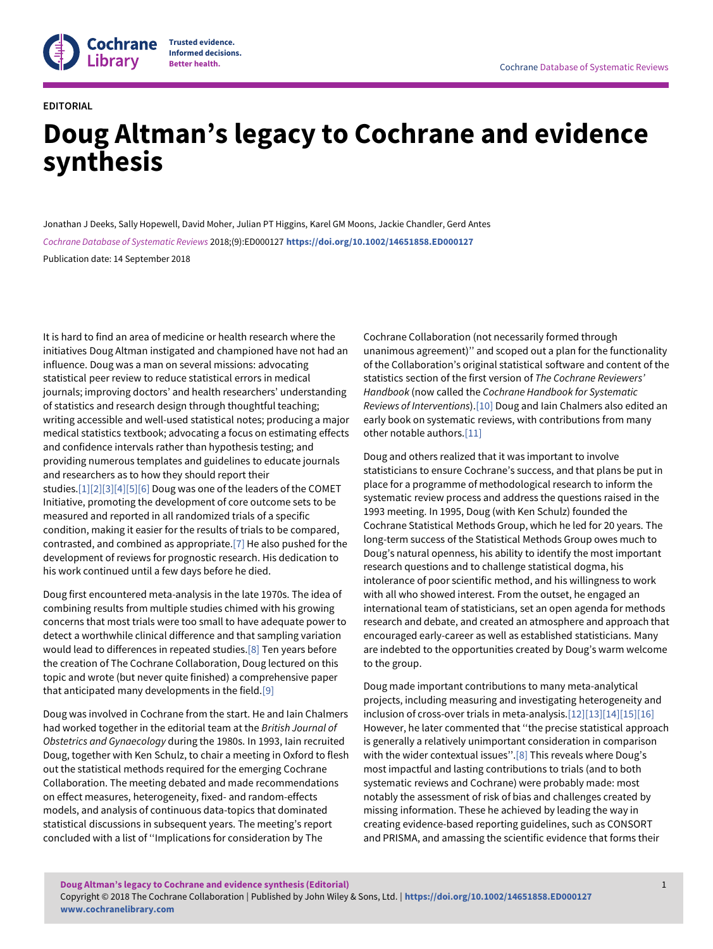

## **EDITORIAL**

# **Doug Altman's legacy to Cochrane and evidence synthesis**

Jonathan J Deeks, Sally Hopewell, David Moher, Julian PT Higgins, Karel GM Moons, Jackie Chandler, Gerd Antes Cochrane Database of Systematic Reviews 2018;(9):ED000127 **<https://doi.org/10.1002/14651858.ED000127>** Publication date: 14 September 2018

It is hard to find an area of medicine or health research where the initiatives Doug Altman instigated and championed have not had an influence. Doug was a man on several missions: advocating statistical peer review to reduce statistical errors in medical journals; improving doctors' and health researchers' understanding of statistics and research design through thoughtful teaching; writing accessible and well-used statistical notes; producing a major medical statistics textbook; advocating a focus on estimating effects and confidence intervals rather than hypothesis testing; and providing numerous templates and guidelines to educate journals and researchers as to how they should report their studies[.\[1\]\[2\]\[3\]\[4\]\[5\]\[6\]](#page-4-0) Doug was one of the leaders of the COMET Initiative, promoting the development of core outcome sets to be measured and reported in all randomized trials of a specific condition, making it easier for the results of trials to be compared, contrasted, and combined as appropriate[.\[7\]](#page-4-0) He also pushed for the development of reviews for prognostic research. His dedication to his work continued until a few days before he died.

Doug first encountered meta-analysis in the late 1970s. The idea of combining results from multiple studies chimed with his growing concerns that most trials were too small to have adequate power to detect a worthwhile clinical difference and that sampling variation would lead to differences in repeated studies.[\[8\]](#page-4-0) Ten years before the creation of The Cochrane Collaboration, Doug lectured on this topic and wrote (but never quite finished) a comprehensive paper that anticipated many developments in the field.[\[9\]](#page-4-0)

Doug was involved in Cochrane from the start. He and Iain Chalmers had worked together in the editorial team at the British Journal of Obstetrics and Gynaecology during the 1980s. In 1993, Iain recruited Doug, together with Ken Schulz, to chair a meeting in Oxford to flesh out the statistical methods required for the emerging Cochrane Collaboration. The meeting debated and made recommendations on effect measures, heterogeneity, fixed- and random-effects models, and analysis of continuous data-topics that dominated statistical discussions in subsequent years. The meeting's report concluded with a list of ''Implications for consideration by The

Cochrane Collaboration (not necessarily formed through unanimous agreement)'' and scoped out a plan for the functionality of the Collaboration's original statistical software and content of the statistics section of the first version of The Cochrane Reviewers' Handbook (now called the Cochrane Handbook for Systematic Reviews of Interventions)[.\[10\]](#page-4-0) Doug and Iain Chalmers also edited an early book on systematic reviews, with contributions from many other notable authors.[\[11\]](#page-4-0)

Doug and others realized that it was important to involve statisticians to ensure Cochrane's success, and that plans be put in place for a programme of methodological research to inform the systematic review process and address the questions raised in the 1993 meeting. In 1995, Doug (with Ken Schulz) founded the Cochrane Statistical Methods Group, which he led for 20 years. The long-term success of the Statistical Methods Group owes much to Doug's natural openness, his ability to identify the most important research questions and to challenge statistical dogma, his intolerance of poor scientific method, and his willingness to work with all who showed interest. From the outset, he engaged an international team of statisticians, set an open agenda for methods research and debate, and created an atmosphere and approach that encouraged early-career as well as established statisticians. Many are indebted to the opportunities created by Doug's warm welcome to the group.

Doug made important contributions to many meta-analytical projects, including measuring and investigating heterogeneity and inclusion of cross-over trials in meta-analysis.[\[12\]\[13\]\[14\]\[15\]\[16\]](#page-4-0) However, he later commented that ''the precise statistical approach is generally a relatively unimportant consideration in comparison with the wider contextual issues". [\[8\]](#page-4-0) This reveals where Doug's most impactful and lasting contributions to trials (and to both systematic reviews and Cochrane) were probably made: most notably the assessment of risk of bias and challenges created by missing information. These he achieved by leading the way in creating evidence-based reporting guidelines, such as CONSORT and PRISMA, and amassing the scientific evidence that forms their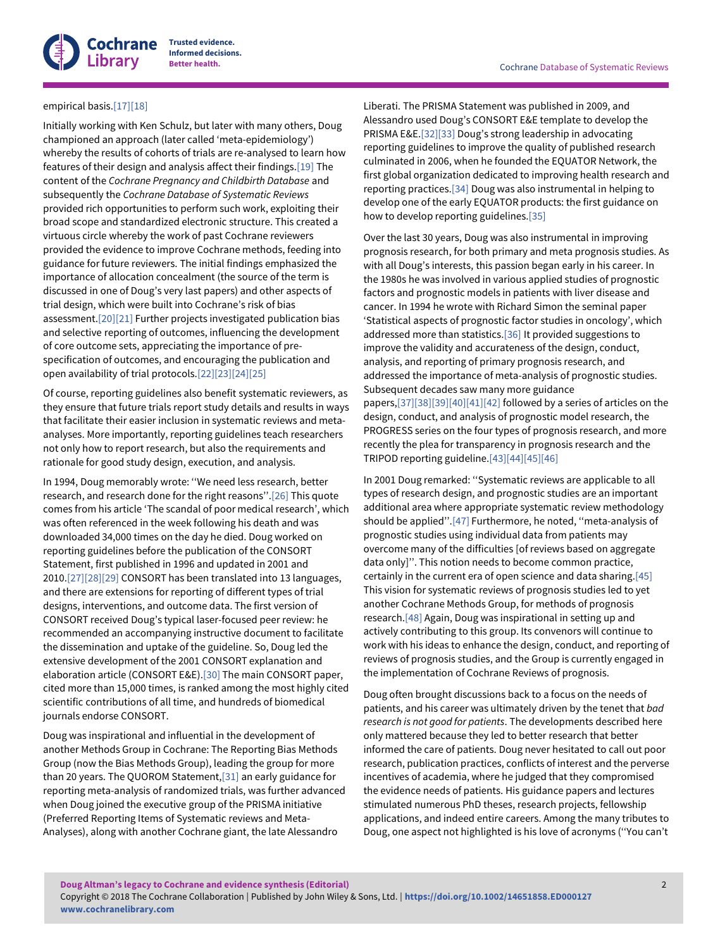

**Informed decisions.**

## empirical basis.[\[17\]\[18\]](#page-4-0)

Initially working with Ken Schulz, but later with many others, Doug championed an approach (later called 'meta-epidemiology') whereby the results of cohorts of trials are re-analysed to learn how features of their design and analysis affect their findings.[\[19\]](#page-4-0) The content of the Cochrane Pregnancy and Childbirth Database and subsequently the Cochrane Database of Systematic Reviews provided rich opportunities to perform such work, exploiting their broad scope and standardized electronic structure. This created a virtuous circle whereby the work of past Cochrane reviewers provided the evidence to improve Cochrane methods, feeding into guidance for future reviewers. The initial findings emphasized the importance of allocation concealment (the source of the term is discussed in one of Doug's very last papers) and other aspects of trial design, which were built into Cochrane's risk of bias assessment.[\[20\]\[21\]](#page-4-0) Further projects investigated publication bias and selective reporting of outcomes, influencing the development of core outcome sets, appreciating the importance of prespecification of outcomes, and encouraging the publication and open availability of trial protocols.[\[22\]\[23\]\[24\]\[25\]](#page-4-0)

Of course, reporting guidelines also benefit systematic reviewers, as they ensure that future trials report study details and results in ways that facilitate their easier inclusion in systematic reviews and metaanalyses. More importantly, reporting guidelines teach researchers not only how to report research, but also the requirements and rationale for good study design, execution, and analysis.

In 1994, Doug memorably wrote: ''We need less research, better research, and research done for the right reasons''.[\[26\]](#page-4-0) This quote comes from his article 'The scandal of poor medical research', which was often referenced in the week following his death and was downloaded 34,000 times on the day he died. Doug worked on reporting guidelines before the publication of the CONSORT Statement, first published in 1996 and updated in 2001 and 2010[.\[27\]\[28\]\[29\]](#page-4-0) CONSORT has been translated into 13 languages, and there are extensions for reporting of different types of trial designs, interventions, and outcome data. The first version of CONSORT received Doug's typical laser-focused peer review: he recommended an accompanying instructive document to facilitate the dissemination and uptake of the guideline. So, Doug led the extensive development of the 2001 CONSORT explanation and elaboration article (CONSORT E&E).[\[30\]](#page-4-0) The main CONSORT paper, cited more than 15,000 times, is ranked among the most highly cited scientific contributions of all time, and hundreds of biomedical journals endorse CONSORT.

Doug was inspirational and influential in the development of another Methods Group in Cochrane: The Reporting Bias Methods Group (now the Bias Methods Group), leading the group for more than 20 years. The QUOROM Statement[,\[31\]](#page-4-0) an early guidance for reporting meta-analysis of randomized trials, was further advanced when Doug joined the executive group of the PRISMA initiative (Preferred Reporting Items of Systematic reviews and Meta-Analyses), along with another Cochrane giant, the late Alessandro

Liberati. The PRISMA Statement was published in 2009, and Alessandro used Doug's CONSORT E&E template to develop the PRISMA E&E[.\[32\]\[33\]](#page-4-0) Doug's strong leadership in advocating reporting guidelines to improve the quality of published research culminated in 2006, when he founded the EQUATOR Network, the first global organization dedicated to improving health research and reporting practices.[\[34\]](#page-4-0) Doug was also instrumental in helping to develop one of the early EQUATOR products: the first guidance on how to develop reporting guidelines[.\[35\]](#page-4-0)

Over the last 30 years, Doug was also instrumental in improving prognosis research, for both primary and meta prognosis studies. As with all Doug's interests, this passion began early in his career. In the 1980s he was involved in various applied studies of prognostic factors and prognostic models in patients with liver disease and cancer. In 1994 he wrote with Richard Simon the seminal paper 'Statistical aspects of prognostic factor studies in oncology', which addressed more than statistics.<sup>[\[36\]](#page-4-0)</sup> It provided suggestions to improve the validity and accurateness of the design, conduct, analysis, and reporting of primary prognosis research, and addressed the importance of meta-analysis of prognostic studies. Subsequent decades saw many more guidance papers,[\[37\]\[38\]\[39\]\[40\]\[41\]\[42\]](#page-4-0) followed by a series of articles on the design, conduct, and analysis of prognostic model research, the PROGRESS series on the four types of prognosis research, and more recently the plea for transparency in prognosis research and the TRIPOD reporting guideline[.\[43\]\[44\]\[45\]\[46\]](#page-4-0)

In 2001 Doug remarked: ''Systematic reviews are applicable to all types of research design, and prognostic studies are an important additional area where appropriate systematic review methodology should be applied''.[\[47\]](#page-4-0) Furthermore, he noted, ''meta-analysis of prognostic studies using individual data from patients may overcome many of the difficulties [of reviews based on aggregate data only]''. This notion needs to become common practice, certainly in the current era of open science and data sharing[.\[45\]](#page-4-0) This vision for systematic reviews of prognosis studies led to yet another Cochrane Methods Group, for methods of prognosis research[.\[48\]](#page-4-0) Again, Doug was inspirational in setting up and actively contributing to this group. Its convenors will continue to work with his ideas to enhance the design, conduct, and reporting of reviews of prognosis studies, and the Group is currently engaged in the implementation of Cochrane Reviews of prognosis.

Doug often brought discussions back to a focus on the needs of patients, and his career was ultimately driven by the tenet that bad research is not good for patients. The developments described here only mattered because they led to better research that better informed the care of patients. Doug never hesitated to call out poor research, publication practices, conflicts of interest and the perverse incentives of academia, where he judged that they compromised the evidence needs of patients. His guidance papers and lectures stimulated numerous PhD theses, research projects, fellowship applications, and indeed entire careers. Among the many tributes to Doug, one aspect not highlighted is his love of acronyms (''You can't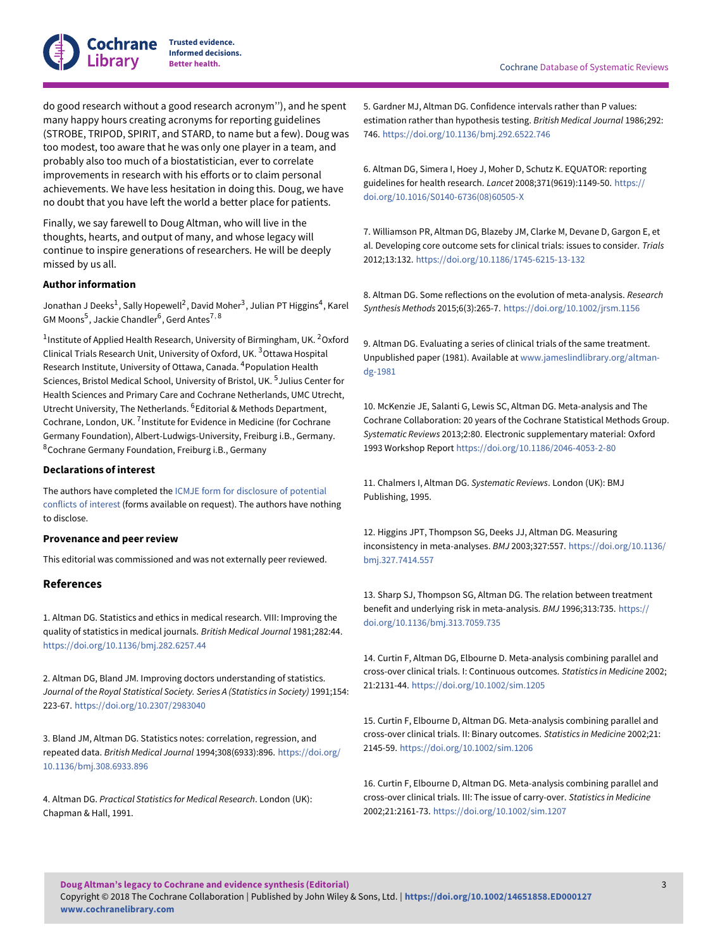

**Trusted evidence. Informed decisions.**

do good research without a good research acronym''), and he spent many happy hours creating acronyms for reporting guidelines (STROBE, TRIPOD, SPIRIT, and STARD, to name but a few). Doug was too modest, too aware that he was only one player in a team, and probably also too much of a biostatistician, ever to correlate improvements in research with his efforts or to claim personal achievements. We have less hesitation in doing this. Doug, we have no doubt that you have left the world a better place for patients.

Finally, we say farewell to Doug Altman, who will live in the thoughts, hearts, and output of many, and whose legacy will continue to inspire generations of researchers. He will be deeply missed by us all.

#### **Author information**

Jonathan J Deeks $^1$ , Sally Hopewell $^2$ , David Moher $^3$ , Julian PT Higgins $^4$ , Karel GM Moons $^5$ , Jackie Chandler $^6$ , Gerd Antes $^{7,\,8}$ 

 $^1$ Institute of Applied Health Research, University of Birmingham, UK.  $^2$ Oxford Clinical Trials Research Unit, University of Oxford, UK. <sup>3</sup>Ottawa Hospital Research Institute, University of Ottawa, Canada. <sup>4</sup>Population Health Sciences, Bristol Medical School, University of Bristol, UK. <sup>5</sup> Julius Center for Health Sciences and Primary Care and Cochrane Netherlands, UMC Utrecht, Utrecht University, The Netherlands. <sup>6</sup>Editorial & Methods Department, Cochrane, London, UK. <sup>7</sup> Institute for Evidence in Medicine (for Cochrane Germany Foundation), Albert-Ludwigs-University, Freiburg i.B., Germany. <sup>8</sup>Cochrane Germany Foundation, Freiburg i.B., Germany

#### **Declarations of interest**

The authors have completed the [ICMJE form for disclosure of potential](http://www.icmje.org/conflicts-of-interest) [conflicts of interest](http://www.icmje.org/conflicts-of-interest) (forms available on request). The authors have nothing to disclose.

#### **Provenance and peer review**

This editorial was commissioned and was not externally peer reviewed.

### **References**

1. Altman DG. Statistics and ethics in medical research. VIII: Improving the quality of statistics in medical journals. British Medical Journal 1981;282:44. <https://doi.org/10.1136/bmj.282.6257.44>

2. Altman DG, Bland JM. Improving doctors understanding of statistics. Journal of the Royal Statistical Society. Series A (Statistics in Society) 1991;154: 223-67. <https://doi.org/10.2307/2983040>

3. Bland JM, Altman DG. Statistics notes: correlation, regression, and repeated data. British Medical Journal 1994;308(6933):896. [https://doi.org/](https://doi.org/10.1136/bmj.308.6933.896) [10.1136/bmj.308.6933.896](https://doi.org/10.1136/bmj.308.6933.896)

4. Altman DG. Practical Statistics for Medical Research. London (UK): Chapman & Hall, 1991.

5. Gardner MJ, Altman DG. Confidence intervals rather than P values: estimation rather than hypothesis testing. British Medical Journal 1986;292: 746. <https://doi.org/10.1136/bmj.292.6522.746>

6. Altman DG, Simera I, Hoey J, Moher D, Schutz K. EQUATOR: reporting guidelines for health research. Lancet 2008;371(9619):1149-50. [https://](https://doi.org/10.1016/S0140-6736%2808%2960505-X) [doi.org/10.1016/S0140-6736\(08\)60505-X](https://doi.org/10.1016/S0140-6736%2808%2960505-X)

7. Williamson PR, Altman DG, Blazeby JM, Clarke M, Devane D, Gargon E, et al. Developing core outcome sets for clinical trials: issues to consider. Trials 2012;13:132. <https://doi.org/10.1186/1745-6215-13-132>

8. Altman DG. Some reflections on the evolution of meta-analysis. Research Synthesis Methods 2015;6(3):265-7. <https://doi.org/10.1002/jrsm.1156>

9. Altman DG. Evaluating a series of clinical trials of the same treatment. Unpublished paper (1981). Available at [www.jameslindlibrary.org/altman](http://www.jameslindlibrary.org/altman-dg-1981)[dg-1981](http://www.jameslindlibrary.org/altman-dg-1981)

10. McKenzie JE, Salanti G, Lewis SC, Altman DG. Meta-analysis and The Cochrane Collaboration: 20 years of the Cochrane Statistical Methods Group. Systematic Reviews 2013;2:80. Electronic supplementary material: Oxford 1993 Workshop Report <https://doi.org/10.1186/2046-4053-2-80>

11. Chalmers I, Altman DG. Systematic Reviews. London (UK): BMJ Publishing, 1995.

12. Higgins JPT, Thompson SG, Deeks JJ, Altman DG. Measuring inconsistency in meta-analyses. BMJ 2003;327:557. [https://doi.org/10.1136/](https://doi.org/10.1136/bmj.327.7414.557) [bmj.327.7414.557](https://doi.org/10.1136/bmj.327.7414.557)

13. Sharp SJ, Thompson SG, Altman DG. The relation between treatment benefit and underlying risk in meta-analysis. BMJ 1996;313:735. [https://](https://doi.org/10.1136/bmj.313.7059.735) [doi.org/10.1136/bmj.313.7059.735](https://doi.org/10.1136/bmj.313.7059.735)

14. Curtin F, Altman DG, Elbourne D. Meta-analysis combining parallel and cross-over clinical trials. I: Continuous outcomes. Statistics in Medicine 2002; 21:2131-44. <https://doi.org/10.1002/sim.1205>

15. Curtin F, Elbourne D, Altman DG. Meta-analysis combining parallel and cross-over clinical trials. II: Binary outcomes. Statistics in Medicine 2002;21: 2145-59. <https://doi.org/10.1002/sim.1206>

16. Curtin F, Elbourne D, Altman DG. Meta-analysis combining parallel and cross-over clinical trials. III: The issue of carry-over. Statistics in Medicine 2002;21:2161-73. <https://doi.org/10.1002/sim.1207>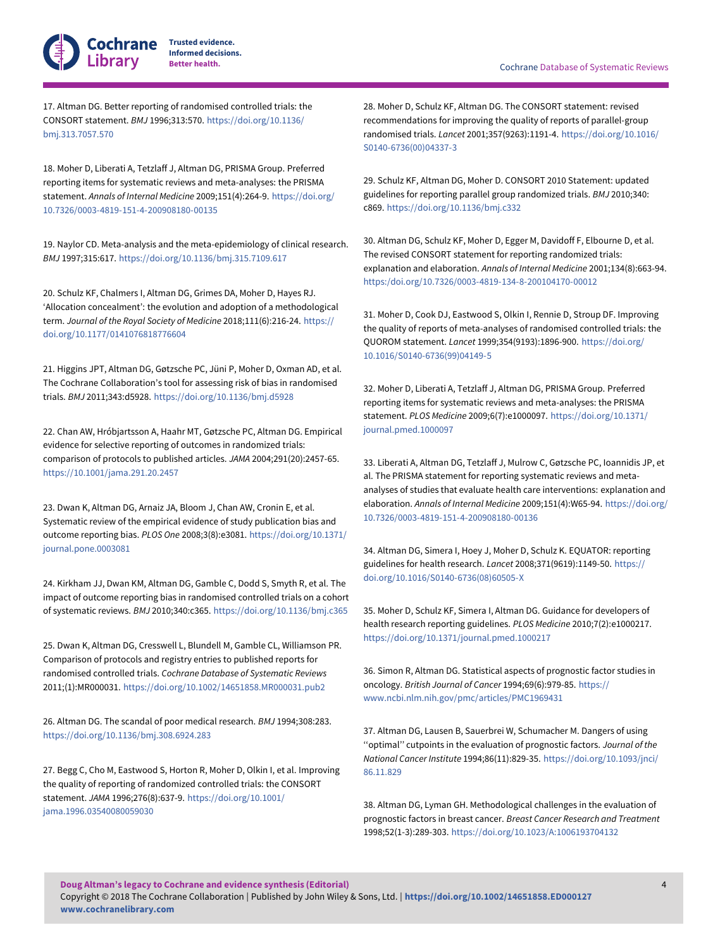

**Informed decisions.**

17. Altman DG. Better reporting of randomised controlled trials: the CONSORT statement. BMJ 1996;313:570. [https://doi.org/10.1136/](https://doi.org/10.1136/bmj.313.7057.570) [bmj.313.7057.570](https://doi.org/10.1136/bmj.313.7057.570)

18. Moher D, Liberati A, Tetzlaff J, Altman DG, PRISMA Group. Preferred reporting items for systematic reviews and meta-analyses: the PRISMA statement. Annals of Internal Medicine 2009;151(4):264-9. [https://doi.org/](https://doi.org/10.7326/0003-4819-151-4-200908180-00135) [10.7326/0003-4819-151-4-200908180-00135](https://doi.org/10.7326/0003-4819-151-4-200908180-00135)

19. Naylor CD. Meta-analysis and the meta-epidemiology of clinical research. BMJ 1997;315:617. <https://doi.org/10.1136/bmj.315.7109.617>

20. Schulz KF, Chalmers I, Altman DG, Grimes DA, Moher D, Hayes RJ. 'Allocation concealment': the evolution and adoption of a methodological term. Journal of the Royal Society of Medicine 2018;111(6):216-24. [https://](https://doi.org/10.1177/0141076818776604) [doi.org/10.1177/0141076818776604](https://doi.org/10.1177/0141076818776604)

21. Higgins JPT, Altman DG, Gøtzsche PC, Jüni P, Moher D, Oxman AD, et al. The Cochrane Collaboration's tool for assessing risk of bias in randomised trials. BMJ 2011;343:d5928. <https://doi.org/10.1136/bmj.d5928>

22. Chan AW, Hróbjartsson A, Haahr MT, Gøtzsche PC, Altman DG. Empirical evidence for selective reporting of outcomes in randomized trials: comparison of protocols to published articles. JAMA 2004;291(20):2457-65. <https://10.1001/jama.291.20.2457>

23. Dwan K, Altman DG, Arnaiz JA, Bloom J, Chan AW, Cronin E, et al. Systematic review of the empirical evidence of study publication bias and outcome reporting bias. PLOS One 2008;3(8):e3081. [https://doi.org/10.1371/](https://doi.org/10.1371/journal.pone.0003081) [journal.pone.0003081](https://doi.org/10.1371/journal.pone.0003081)

24. Kirkham JJ, Dwan KM, Altman DG, Gamble C, Dodd S, Smyth R, et al. The impact of outcome reporting bias in randomised controlled trials on a cohort of systematic reviews. BMJ 2010;340:c365. <https://doi.org/10.1136/bmj.c365>

25. Dwan K, Altman DG, Cresswell L, Blundell M, Gamble CL, Williamson PR. Comparison of protocols and registry entries to published reports for randomised controlled trials. Cochrane Database of Systematic Reviews 2011;(1):MR000031. <https://doi.org/10.1002/14651858.MR000031.pub2>

26. Altman DG. The scandal of poor medical research. BMJ 1994;308:283. <https://doi.org/10.1136/bmj.308.6924.283>

27. Begg C, Cho M, Eastwood S, Horton R, Moher D, Olkin I, et al. Improving the quality of reporting of randomized controlled trials: the CONSORT statement. JAMA 1996;276(8):637-9. [https://doi.org/10.1001/](https://doi.org/10.1001/jama.1996.03540080059030) [jama.1996.03540080059030](https://doi.org/10.1001/jama.1996.03540080059030)

28. Moher D, Schulz KF, Altman DG. The CONSORT statement: revised recommendations for improving the quality of reports of parallel-group randomised trials. Lancet 2001;357(9263):1191-4. [https://doi.org/10.1016/](https://doi.org/10.1016/S0140-6736%2800%2904337-3) [S0140-6736\(00\)04337-3](https://doi.org/10.1016/S0140-6736%2800%2904337-3)

29. Schulz KF, Altman DG, Moher D. CONSORT 2010 Statement: updated guidelines for reporting parallel group randomized trials. BMJ 2010;340: c869. <https://doi.org/10.1136/bmj.c332>

30. Altman DG, Schulz KF, Moher D, Egger M, Davidoff F, Elbourne D, et al. The revised CONSORT statement for reporting randomized trials: explanation and elaboration. Annals of Internal Medicine 2001;134(8):663-94. <https:/doi.org/10.7326/0003-4819-134-8-200104170-00012>

31. Moher D, Cook DJ, Eastwood S, Olkin I, Rennie D, Stroup DF. Improving the quality of reports of meta-analyses of randomised controlled trials: the QUOROM statement. Lancet 1999;354(9193):1896-900. [https://doi.org/](https://doi.org/10.1016/S0140-6736%2899%2904149-5) [10.1016/S0140-6736\(99\)04149-5](https://doi.org/10.1016/S0140-6736%2899%2904149-5)

32. Moher D, Liberati A, Tetzlaff J, Altman DG, PRISMA Group. Preferred reporting items for systematic reviews and meta-analyses: the PRISMA statement. PLOS Medicine 2009;6(7):e1000097. [https://doi.org/10.1371/](https://doi.org/10.1371/journal.pmed.1000097) [journal.pmed.1000097](https://doi.org/10.1371/journal.pmed.1000097)

33. Liberati A, Altman DG, Tetzlaff J, Mulrow C, Gøtzsche PC, Ioannidis JP, et al. The PRISMA statement for reporting systematic reviews and metaanalyses of studies that evaluate health care interventions: explanation and elaboration. Annals of Internal Medicine 2009;151(4):W65-94. [https://doi.org/](https://doi.org/10.7326/0003-4819-151-4-200908180-00136) [10.7326/0003-4819-151-4-200908180-00136](https://doi.org/10.7326/0003-4819-151-4-200908180-00136)

34. Altman DG, Simera I, Hoey J, Moher D, Schulz K. EQUATOR: reporting guidelines for health research. Lancet 2008;371(9619):1149-50. [https://](https://doi.org/10.1016/S0140-6736%2808%2960505-X) [doi.org/10.1016/S0140-6736\(08\)60505-X](https://doi.org/10.1016/S0140-6736%2808%2960505-X)

35. Moher D, Schulz KF, Simera I, Altman DG. Guidance for developers of health research reporting guidelines. PLOS Medicine 2010;7(2):e1000217. <https://doi.org/10.1371/journal.pmed.1000217>

36. Simon R, Altman DG. Statistical aspects of prognostic factor studies in oncology. British Journal of Cancer 1994;69(6):979-85. [https://](https://www.ncbi.nlm.nih.gov/pmc/articles/PMC1969431) [www.ncbi.nlm.nih.gov/pmc/articles/PMC1969431](https://www.ncbi.nlm.nih.gov/pmc/articles/PMC1969431)

37. Altman DG, Lausen B, Sauerbrei W, Schumacher M. Dangers of using "optimal" cutpoints in the evaluation of prognostic factors. Journal of the National Cancer Institute 1994;86(11):829-35. [https://doi.org/10.1093/jnci/](https://doi.org/10.1093/jnci/86.11.829) [86.11.829](https://doi.org/10.1093/jnci/86.11.829)

38. Altman DG, Lyman GH. Methodological challenges in the evaluation of prognostic factors in breast cancer. Breast Cancer Research and Treatment 1998;52(1-3):289-303. <https://doi.org/10.1023/A:1006193704132>